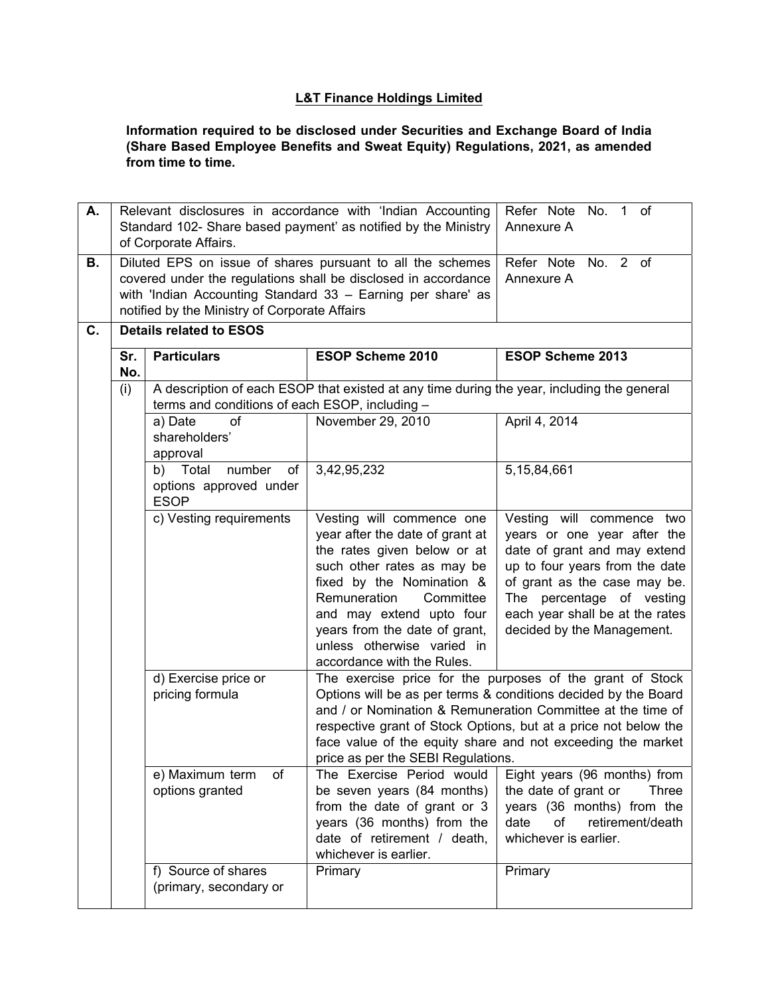## **L&T Finance Holdings Limited**

**Information required to be disclosed under Securities and Exchange Board of India (Share Based Employee Benefits and Sweat Equity) Regulations, 2021, as amended from time to time.** 

| А.       | Relevant disclosures in accordance with 'Indian Accounting<br>Standard 102- Share based payment' as notified by the Ministry<br>of Corporate Affairs.                                                                                                                          |                                                                                  |                                                                                                                                                                                                                                                                                                                       | Refer Note No. 1 of<br>Annexure A                                                                                                                                                                                                                                                                                                                                                                                                                                                                                                                           |  |  |
|----------|--------------------------------------------------------------------------------------------------------------------------------------------------------------------------------------------------------------------------------------------------------------------------------|----------------------------------------------------------------------------------|-----------------------------------------------------------------------------------------------------------------------------------------------------------------------------------------------------------------------------------------------------------------------------------------------------------------------|-------------------------------------------------------------------------------------------------------------------------------------------------------------------------------------------------------------------------------------------------------------------------------------------------------------------------------------------------------------------------------------------------------------------------------------------------------------------------------------------------------------------------------------------------------------|--|--|
| В.<br>C. | Diluted EPS on issue of shares pursuant to all the schemes<br>covered under the regulations shall be disclosed in accordance<br>with 'Indian Accounting Standard 33 - Earning per share' as<br>notified by the Ministry of Corporate Affairs<br><b>Details related to ESOS</b> |                                                                                  |                                                                                                                                                                                                                                                                                                                       | Refer Note No. 2 of<br>Annexure A                                                                                                                                                                                                                                                                                                                                                                                                                                                                                                                           |  |  |
|          |                                                                                                                                                                                                                                                                                |                                                                                  |                                                                                                                                                                                                                                                                                                                       |                                                                                                                                                                                                                                                                                                                                                                                                                                                                                                                                                             |  |  |
|          | Sr.<br>No.                                                                                                                                                                                                                                                                     | <b>Particulars</b>                                                               | <b>ESOP Scheme 2010</b>                                                                                                                                                                                                                                                                                               | <b>ESOP Scheme 2013</b>                                                                                                                                                                                                                                                                                                                                                                                                                                                                                                                                     |  |  |
|          | (i)                                                                                                                                                                                                                                                                            |                                                                                  | A description of each ESOP that existed at any time during the year, including the general                                                                                                                                                                                                                            |                                                                                                                                                                                                                                                                                                                                                                                                                                                                                                                                                             |  |  |
|          |                                                                                                                                                                                                                                                                                | terms and conditions of each ESOP, including -                                   |                                                                                                                                                                                                                                                                                                                       |                                                                                                                                                                                                                                                                                                                                                                                                                                                                                                                                                             |  |  |
|          |                                                                                                                                                                                                                                                                                | of<br>a) Date<br>shareholders'                                                   | November 29, 2010                                                                                                                                                                                                                                                                                                     | April 4, 2014                                                                                                                                                                                                                                                                                                                                                                                                                                                                                                                                               |  |  |
|          |                                                                                                                                                                                                                                                                                | approval                                                                         |                                                                                                                                                                                                                                                                                                                       |                                                                                                                                                                                                                                                                                                                                                                                                                                                                                                                                                             |  |  |
|          |                                                                                                                                                                                                                                                                                | 3,42,95,232<br>b) Total<br>number<br>of<br>options approved under<br><b>ESOP</b> |                                                                                                                                                                                                                                                                                                                       | 5, 15, 84, 661                                                                                                                                                                                                                                                                                                                                                                                                                                                                                                                                              |  |  |
|          |                                                                                                                                                                                                                                                                                | c) Vesting requirements<br>Vesting will commence one                             |                                                                                                                                                                                                                                                                                                                       | Vesting will commence two                                                                                                                                                                                                                                                                                                                                                                                                                                                                                                                                   |  |  |
|          |                                                                                                                                                                                                                                                                                | d) Exercise price or<br>pricing formula                                          | year after the date of grant at<br>the rates given below or at<br>such other rates as may be<br>fixed by the Nomination &<br>Remuneration<br>Committee<br>and may extend upto four<br>years from the date of grant,<br>unless otherwise varied in<br>accordance with the Rules.<br>price as per the SEBI Regulations. | years or one year after the<br>date of grant and may extend<br>up to four years from the date<br>of grant as the case may be.<br>The percentage of vesting<br>each year shall be at the rates<br>decided by the Management.<br>The exercise price for the purposes of the grant of Stock<br>Options will be as per terms & conditions decided by the Board<br>and / or Nomination & Remuneration Committee at the time of<br>respective grant of Stock Options, but at a price not below the<br>face value of the equity share and not exceeding the market |  |  |
|          |                                                                                                                                                                                                                                                                                | e) Maximum term<br>of<br>options granted                                         | The Exercise Period would<br>be seven years (84 months)<br>from the date of grant or 3<br>years (36 months) from the<br>date of retirement / death,<br>whichever is earlier.                                                                                                                                          | Eight years (96 months) from<br>the date of grant or<br>Three<br>years (36 months) from the<br>retirement/death<br>date<br>of<br>whichever is earlier.                                                                                                                                                                                                                                                                                                                                                                                                      |  |  |
|          |                                                                                                                                                                                                                                                                                | f) Source of shares                                                              | Primary                                                                                                                                                                                                                                                                                                               | Primary                                                                                                                                                                                                                                                                                                                                                                                                                                                                                                                                                     |  |  |
|          |                                                                                                                                                                                                                                                                                | (primary, secondary or                                                           |                                                                                                                                                                                                                                                                                                                       |                                                                                                                                                                                                                                                                                                                                                                                                                                                                                                                                                             |  |  |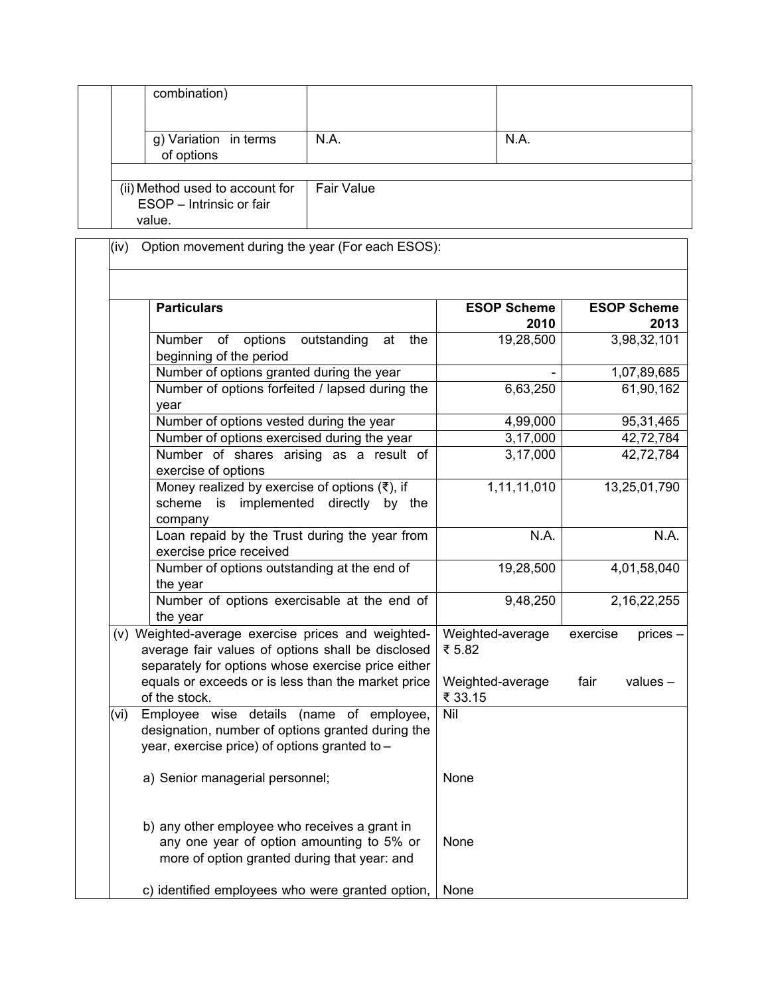|  | combination)                                                          |                   |      |
|--|-----------------------------------------------------------------------|-------------------|------|
|  | g) Variation in terms<br>of options                                   | N.A.              | N.A. |
|  |                                                                       |                   |      |
|  | (ii) Method used to account for<br>ESOP - Intrinsic or fair<br>value. | <b>Fair Value</b> |      |

(iv) Option movement during the year (For each ESOS):

|      | <b>Particulars</b>                                                                                                                                            | <b>ESOP Scheme</b><br>2010  | <b>ESOP Scheme</b><br>2013 |
|------|---------------------------------------------------------------------------------------------------------------------------------------------------------------|-----------------------------|----------------------------|
|      | Number<br>of<br>options<br>outstanding<br>the<br>at<br>beginning of the period                                                                                | 19,28,500                   | 3,98,32,101                |
|      | Number of options granted during the year                                                                                                                     |                             | 1,07,89,685                |
|      | Number of options forfeited / lapsed during the<br>year                                                                                                       | 6,63,250                    | 61,90,162                  |
|      | Number of options vested during the year                                                                                                                      | 4,99,000                    | 95,31,465                  |
|      | Number of options exercised during the year                                                                                                                   | 3,17,000                    | 42,72,784                  |
|      | Number of shares arising as a result of<br>exercise of options                                                                                                | 3,17,000                    | 42,72,784                  |
|      | Money realized by exercise of options $(3)$ , if<br>scheme is implemented directly by the<br>company                                                          | 1,11,11,010                 | 13,25,01,790               |
|      | Loan repaid by the Trust during the year from<br>exercise price received                                                                                      | N.A.                        | N.A.                       |
|      | Number of options outstanding at the end of<br>the year                                                                                                       | 19,28,500                   | 4,01,58,040                |
|      | Number of options exercisable at the end of<br>the year                                                                                                       | 9,48,250                    | 2, 16, 22, 255             |
|      | (v) Weighted-average exercise prices and weighted-<br>average fair values of options shall be disclosed<br>separately for options whose exercise price either | Weighted-average<br>₹ 5.82  | exercise<br>$p$ rices $-$  |
|      | equals or exceeds or is less than the market price<br>of the stock.                                                                                           | Weighted-average<br>₹ 33.15 | fair<br>$values -$         |
| (vi) | Employee wise details (name of employee,<br>designation, number of options granted during the<br>year, exercise price) of options granted to -                | Nil                         |                            |
|      | a) Senior managerial personnel;                                                                                                                               | None                        |                            |
|      | b) any other employee who receives a grant in<br>any one year of option amounting to 5% or<br>more of option granted during that year: and                    | None                        |                            |
|      | c) identified employees who were granted option,                                                                                                              | None                        |                            |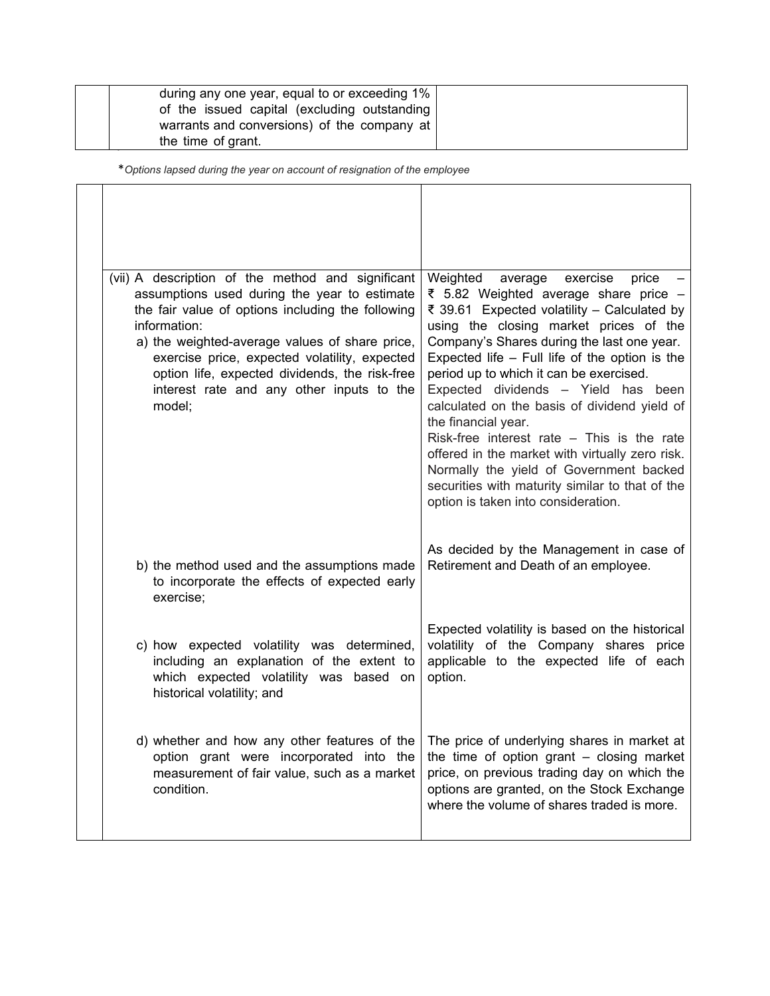| during any one year, equal to or exceeding 1%   |  |
|-------------------------------------------------|--|
| of the issued capital (excluding outstanding)   |  |
| warrants and conversions) of the company at $ $ |  |
| the time of grant.                              |  |

\**Options lapsed during the year on account of resignation of the employee* 

| (vii) A description of the method and significant<br>assumptions used during the year to estimate<br>the fair value of options including the following<br>information:<br>a) the weighted-average values of share price,<br>exercise price, expected volatility, expected<br>option life, expected dividends, the risk-free<br>interest rate and any other inputs to the<br>model; | Weighted<br>average<br>exercise<br>price<br>₹ 5.82 Weighted average share price -<br>₹ 39.61 Expected volatility - Calculated by<br>using the closing market prices of the<br>Company's Shares during the last one year.<br>Expected life $-$ Full life of the option is the<br>period up to which it can be exercised.<br>Expected dividends - Yield has been<br>calculated on the basis of dividend yield of<br>the financial year.<br>Risk-free interest rate $-$ This is the rate<br>offered in the market with virtually zero risk.<br>Normally the yield of Government backed<br>securities with maturity similar to that of the<br>option is taken into consideration. |
|------------------------------------------------------------------------------------------------------------------------------------------------------------------------------------------------------------------------------------------------------------------------------------------------------------------------------------------------------------------------------------|-------------------------------------------------------------------------------------------------------------------------------------------------------------------------------------------------------------------------------------------------------------------------------------------------------------------------------------------------------------------------------------------------------------------------------------------------------------------------------------------------------------------------------------------------------------------------------------------------------------------------------------------------------------------------------|
| b) the method used and the assumptions made<br>to incorporate the effects of expected early<br>exercise;                                                                                                                                                                                                                                                                           | As decided by the Management in case of<br>Retirement and Death of an employee.                                                                                                                                                                                                                                                                                                                                                                                                                                                                                                                                                                                               |
| c) how expected volatility was determined,<br>including an explanation of the extent to<br>which expected volatility was based on<br>historical volatility; and                                                                                                                                                                                                                    | Expected volatility is based on the historical<br>volatility of the Company shares price<br>applicable to the expected life of each<br>option.                                                                                                                                                                                                                                                                                                                                                                                                                                                                                                                                |
| d) whether and how any other features of the<br>option grant were incorporated into the<br>measurement of fair value, such as a market<br>condition.                                                                                                                                                                                                                               | The price of underlying shares in market at<br>the time of option grant $-$ closing market<br>price, on previous trading day on which the<br>options are granted, on the Stock Exchange<br>where the volume of shares traded is more.                                                                                                                                                                                                                                                                                                                                                                                                                                         |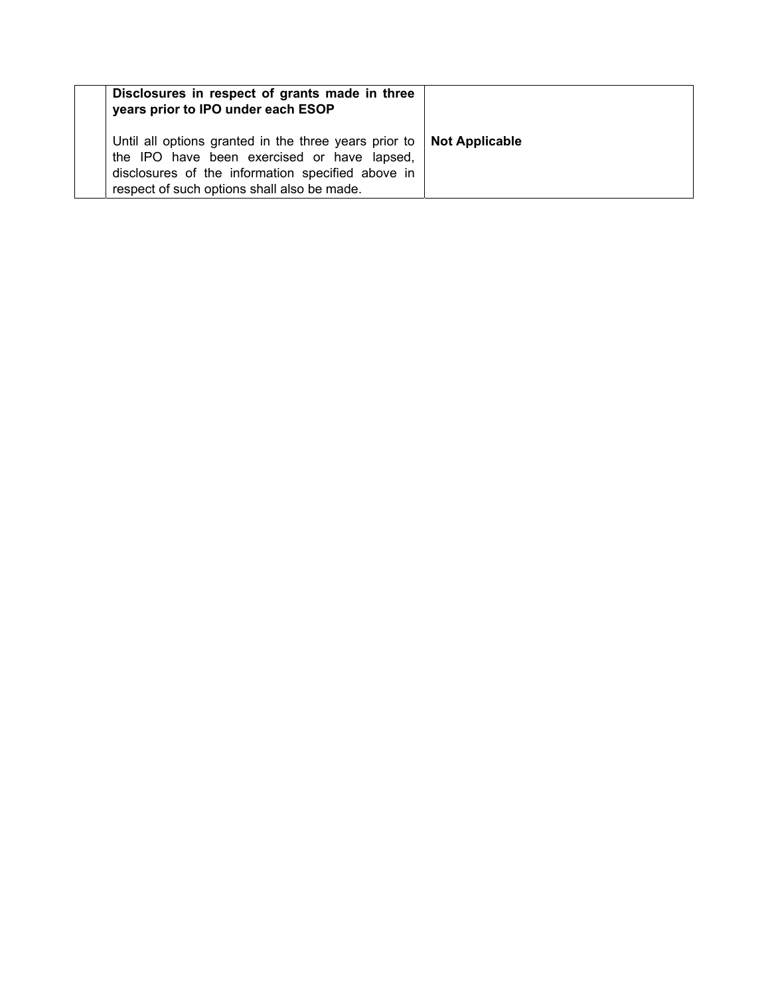| Disclosures in respect of grants made in three<br>years prior to IPO under each ESOP                                                                                                                                            |  |
|---------------------------------------------------------------------------------------------------------------------------------------------------------------------------------------------------------------------------------|--|
| Until all options granted in the three years prior to $\vert$ Not Applicable<br>the IPO have been exercised or have lapsed,<br>disclosures of the information specified above in<br>respect of such options shall also be made. |  |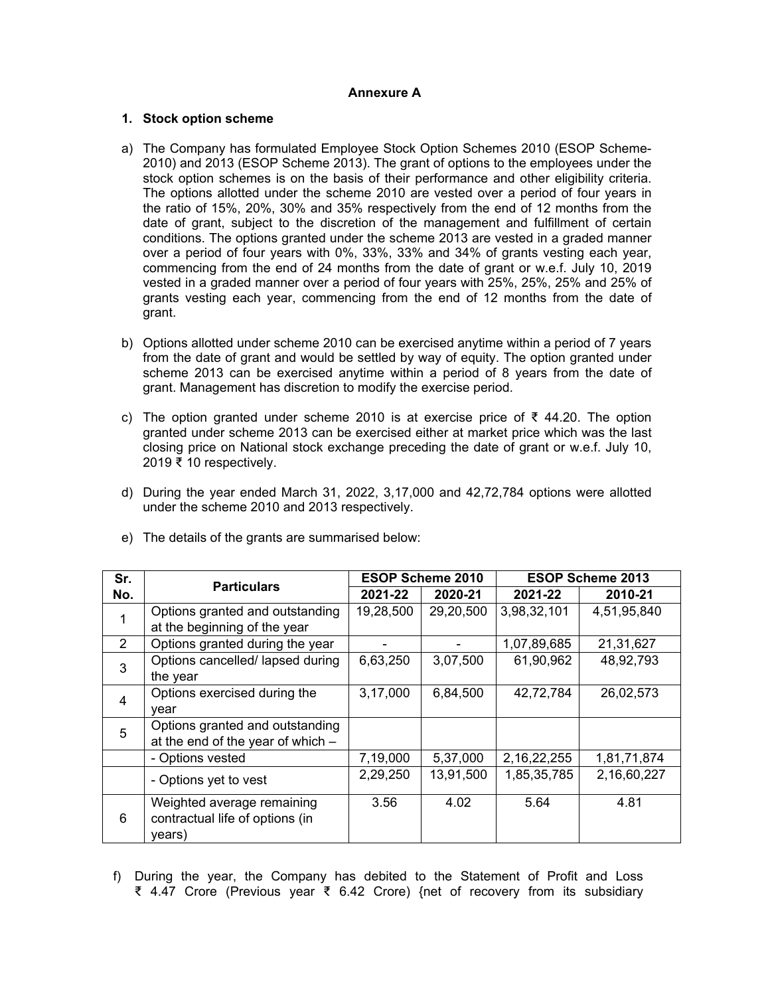## **Annexure A**

## **1. Stock option scheme**

- a) The Company has formulated Employee Stock Option Schemes 2010 (ESOP Scheme-2010) and 2013 (ESOP Scheme 2013). The grant of options to the employees under the stock option schemes is on the basis of their performance and other eligibility criteria. The options allotted under the scheme 2010 are vested over a period of four years in the ratio of 15%, 20%, 30% and 35% respectively from the end of 12 months from the date of grant, subject to the discretion of the management and fulfillment of certain conditions. The options granted under the scheme 2013 are vested in a graded manner over a period of four years with 0%, 33%, 33% and 34% of grants vesting each year, commencing from the end of 24 months from the date of grant or w.e.f. July 10, 2019 vested in a graded manner over a period of four years with 25%, 25%, 25% and 25% of grants vesting each year, commencing from the end of 12 months from the date of grant.
- b) Options allotted under scheme 2010 can be exercised anytime within a period of 7 years from the date of grant and would be settled by way of equity. The option granted under scheme 2013 can be exercised anytime within a period of 8 years from the date of grant. Management has discretion to modify the exercise period.
- c) The option granted under scheme 2010 is at exercise price of ₹ 44.20. The option granted under scheme 2013 can be exercised either at market price which was the last closing price on National stock exchange preceding the date of grant or w.e.f. July 10, 2019  $\bar{\bar{\xi}}$  10 respectively.
- d) During the year ended March 31, 2022, 3,17,000 and 42,72,784 options were allotted under the scheme 2010 and 2013 respectively.

| Sr.            | <b>Particulars</b>                | <b>ESOP Scheme 2010</b> |           | <b>ESOP Scheme 2013</b> |             |
|----------------|-----------------------------------|-------------------------|-----------|-------------------------|-------------|
| No.            |                                   | 2021-22                 | 2020-21   | 2021-22                 | 2010-21     |
| 1              | Options granted and outstanding   | 19,28,500               | 29,20,500 | 3,98,32,101             | 4,51,95,840 |
|                | at the beginning of the year      |                         |           |                         |             |
| 2              | Options granted during the year   |                         |           | 1,07,89,685             | 21,31,627   |
| 3              | Options cancelled/ lapsed during  | 6,63,250                | 3,07,500  | 61,90,962               | 48,92,793   |
|                | the year                          |                         |           |                         |             |
| $\overline{4}$ | Options exercised during the      | 3,17,000                | 6,84,500  | 42,72,784               | 26,02,573   |
|                | vear                              |                         |           |                         |             |
| 5              | Options granted and outstanding   |                         |           |                         |             |
|                | at the end of the year of which - |                         |           |                         |             |
|                | - Options vested                  | 7,19,000                | 5,37,000  | 2, 16, 22, 255          | 1,81,71,874 |
|                | - Options yet to vest             | 2,29,250                | 13,91,500 | 1,85,35,785             | 2,16,60,227 |
| 6              | Weighted average remaining        | 3.56                    | 4.02      | 5.64                    | 4.81        |
|                | contractual life of options (in   |                         |           |                         |             |
|                | years)                            |                         |           |                         |             |

e) The details of the grants are summarised below:

f) During the year, the Company has debited to the Statement of Profit and Loss ₹ 4.47 Crore (Previous year ₹ 6.42 Crore) {net of recovery from its subsidiary